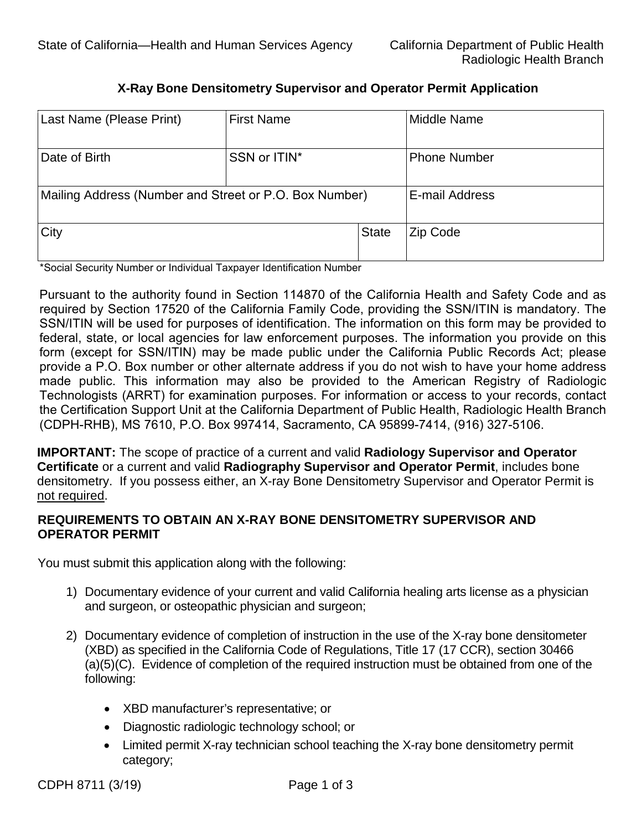## **X-Ray Bone Densitometry Supervisor and Operator Permit Application**

| Last Name (Please Print)                               | <b>First Name</b> |              | Middle Name         |
|--------------------------------------------------------|-------------------|--------------|---------------------|
| Date of Birth                                          | SSN or ITIN*      |              | <b>Phone Number</b> |
| Mailing Address (Number and Street or P.O. Box Number) |                   |              | E-mail Address      |
| City                                                   |                   | <b>State</b> | Zip Code            |

\*Social Security Number or Individual Taxpayer Identification Number

 SSN/ITIN will be used for purposes of identification. The information on this form may be provided to Pursuant to the authority found in Section 114870 of the California Health and Safety Code and as required by Section 17520 of the California Family Code, providing the SSN/ITIN is mandatory. The federal, state, or local agencies for law enforcement purposes. The information you provide on this form (except for SSN/ITIN) may be made public under the California Public Records Act; please provide a P.O. Box number or other alternate address if you do not wish to have your home address made public. This information may also be provided to the American Registry of Radiologic Technologists (ARRT) for examination purposes. For information or access to your records, contact the Certification Support Unit at the California Department of Public Health, Radiologic Health Branch (CDPH-RHB), MS 7610, P.O. Box 997414, Sacramento, CA 95899-7414, (916) 327-5106.

 densitometry. If you possess either, an X-ray Bone Densitometry Supervisor and Operator Permit is **IMPORTANT:** The scope of practice of a current and valid **Radiology Supervisor and Operator Certificate** or a current and valid **Radiography Supervisor and Operator Permit**, includes bone not required.

## **REQUIREMENTS TO OBTAIN AN X-RAY BONE DENSITOMETRY SUPERVISOR AND OPERATOR PERMIT**

You must submit this application along with the following:

- Ī 1) Documentary evidence of your current and valid California healing arts license as a physician and surgeon, or osteopathic physician and surgeon;
- 2) Documentary evidence of completion of instruction in the use of the X-ray bone densitometer (XBD) as specified in the California Code of Regulations, Title 17 (17 CCR), section 30466 (a)(5)(C). Evidence of completion of the required instruction must be obtained from one of the following:
	- • XBD manufacturer's representative; or
	- Diagnostic radiologic technology school; or
	- Limited permit X-ray technician school teaching the X-ray bone densitometry permit category;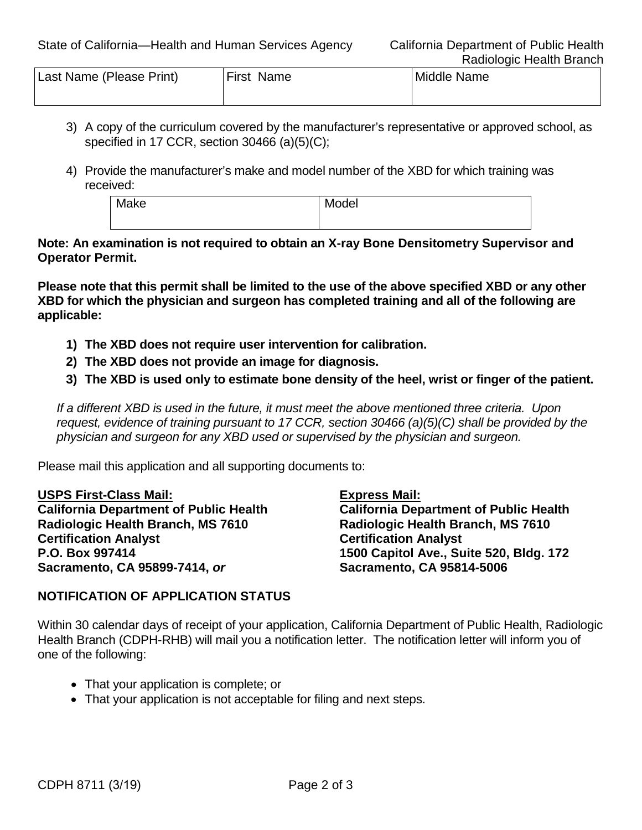| Last Name (Please Print) | <b>First Name</b> | Middle Name |
|--------------------------|-------------------|-------------|
|                          |                   |             |

- 3) A copy of the curriculum covered by the manufacturer's representative or approved school, as specified in 17 CCR, section 30466 (a)(5)(C);
- 4) Provide the manufacturer's make and model number of the XBD for which training was received:

Make Model

**Note: An examination is not required to obtain an X-ray Bone Densitometry Supervisor and Operator Permit.** 

**Please note that this permit shall be limited to the use of the above specified XBD or any other XBD for which the physician and surgeon has completed training and all of the following are applicable:** 

- **1) The XBD does not require user intervention for calibration.**
- **2) The XBD does not provide an image for diagnosis.**
- **3) The XBD is used only to estimate bone density of the heel, wrist or finger of the patient.**

 *If a different XBD is used in the future, it must meet the above mentioned three criteria. Upon request, evidence of training pursuant to 17 CCR, section 30466 (a)(5)(C) shall be provided by the physician and surgeon for any XBD used or supervised by the physician and surgeon.* 

Please mail this application and all supporting documents to:

**USPS First-Class Mail: California Department of Public Health Radiologic Health Branch, MS 7610 Certification Analyst P.O. Box 997414 Sacramento, CA 95899-7414,** *or* 

**Express Mail:** 

**California Department of Public Health Radiologic Health Branch, MS 7610 Certification Analyst 1500 Capitol Ave., Suite 520, Bldg. 172 Sacramento, CA 95814-5006** 

## **NOTIFICATION OF APPLICATION STATUS**

 Health Branch (CDPH-RHB) will mail you a notification letter. The notification letter will inform you of Within 30 calendar days of receipt of your application, California Department of Public Health, Radiologic one of the following:

- That your application is complete; or
- That your application is not acceptable for filing and next steps.